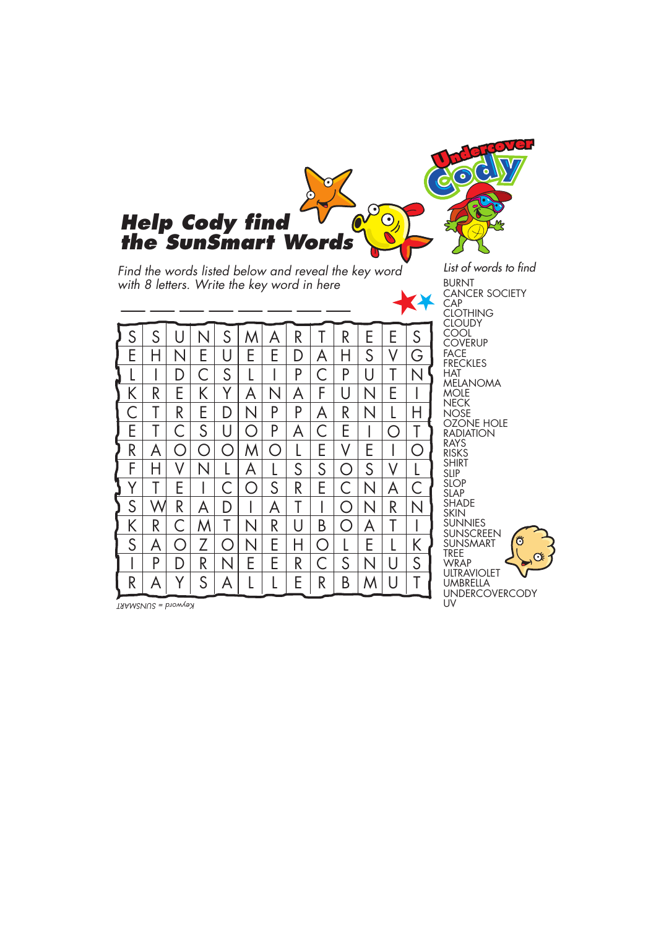